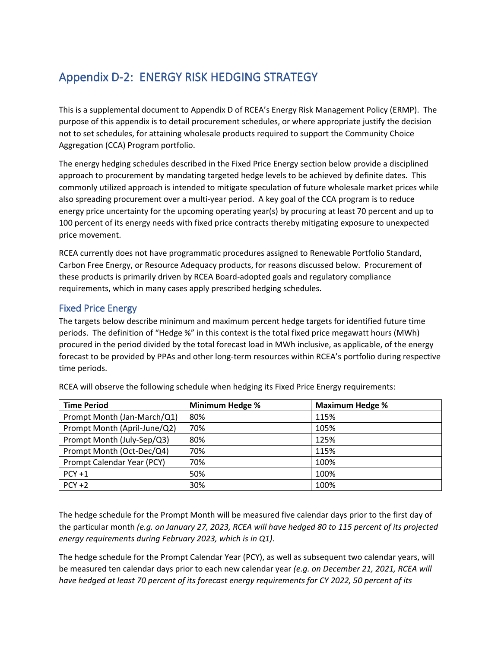# Appendix D-2: ENERGY RISK HEDGING STRATEGY

This is a supplemental document to Appendix D of RCEA's Energy Risk Management Policy (ERMP). The purpose of this appendix is to detail procurement schedules, or where appropriate justify the decision not to set schedules, for attaining wholesale products required to support the Community Choice Aggregation (CCA) Program portfolio.

The energy hedging schedules described in the Fixed Price Energy section below provide a disciplined approach to procurement by mandating targeted hedge levels to be achieved by definite dates. This commonly utilized approach is intended to mitigate speculation of future wholesale market prices while also spreading procurement over a multi-year period. A key goal of the CCA program is to reduce energy price uncertainty for the upcoming operating year(s) by procuring at least 70 percent and up to 100 percent of its energy needs with fixed price contracts thereby mitigating exposure to unexpected price movement.

RCEA currently does not have programmatic procedures assigned to Renewable Portfolio Standard, Carbon Free Energy, or Resource Adequacy products, for reasons discussed below. Procurement of these products is primarily driven by RCEA Board-adopted goals and regulatory compliance requirements, which in many cases apply prescribed hedging schedules.

# Fixed Price Energy

The targets below describe minimum and maximum percent hedge targets for identified future time periods. The definition of "Hedge %" in this context is the total fixed price megawatt hours (MWh) procured in the period divided by the total forecast load in MWh inclusive, as applicable, of the energy forecast to be provided by PPAs and other long-term resources within RCEA's portfolio during respective time periods.

| <b>Time Period</b>           | <b>Minimum Hedge %</b> | <b>Maximum Hedge %</b> |
|------------------------------|------------------------|------------------------|
| Prompt Month (Jan-March/Q1)  | 80%                    | 115%                   |
| Prompt Month (April-June/Q2) | 70%                    | 105%                   |
| Prompt Month (July-Sep/Q3)   | 80%                    | 125%                   |
| Prompt Month (Oct-Dec/Q4)    | 70%                    | 115%                   |
| Prompt Calendar Year (PCY)   | 70%                    | 100%                   |
| $PCY + 1$                    | 50%                    | 100%                   |
| $PCY + 2$                    | 30%                    | 100%                   |

RCEA will observe the following schedule when hedging its Fixed Price Energy requirements:

The hedge schedule for the Prompt Month will be measured five calendar days prior to the first day of the particular month *(e.g. on January 27, 2023, RCEA will have hedged 80 to 115 percent of its projected energy requirements during February 2023, which is in Q1)*.

The hedge schedule for the Prompt Calendar Year (PCY), as well as subsequent two calendar years, will be measured ten calendar days prior to each new calendar year *(e.g. on December 21, 2021, RCEA will have hedged at least 70 percent of its forecast energy requirements for CY 2022, 50 percent of its*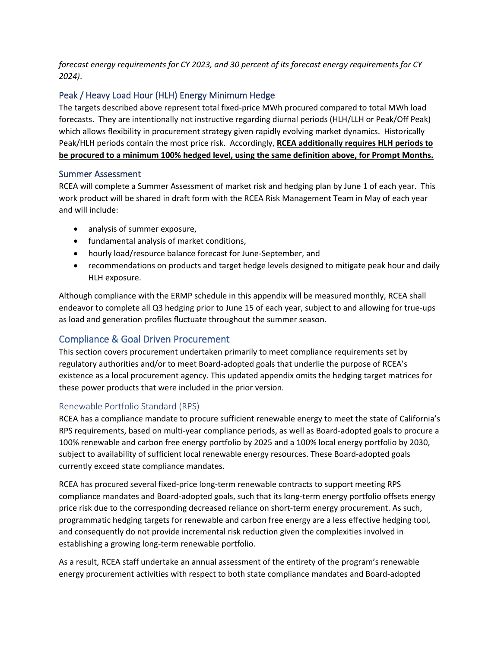*forecast energy requirements for CY 2023, and 30 percent of its forecast energy requirements for CY 2024)*.

## Peak / Heavy Load Hour (HLH) Energy Minimum Hedge

The targets described above represent total fixed-price MWh procured compared to total MWh load forecasts. They are intentionally not instructive regarding diurnal periods (HLH/LLH or Peak/Off Peak) which allows flexibility in procurement strategy given rapidly evolving market dynamics. Historically Peak/HLH periods contain the most price risk. Accordingly, **RCEA additionally requires HLH periods to be procured to a minimum 100% hedged level, using the same definition above, for Prompt Months.** 

### Summer Assessment

RCEA will complete a Summer Assessment of market risk and hedging plan by June 1 of each year. This work product will be shared in draft form with the RCEA Risk Management Team in May of each year and will include:

- analysis of summer exposure,
- fundamental analysis of market conditions,
- hourly load/resource balance forecast for June-September, and
- recommendations on products and target hedge levels designed to mitigate peak hour and daily HLH exposure.

Although compliance with the ERMP schedule in this appendix will be measured monthly, RCEA shall endeavor to complete all Q3 hedging prior to June 15 of each year, subject to and allowing for true-ups as load and generation profiles fluctuate throughout the summer season.

## Compliance & Goal Driven Procurement

This section covers procurement undertaken primarily to meet compliance requirements set by regulatory authorities and/or to meet Board-adopted goals that underlie the purpose of RCEA's existence as a local procurement agency. This updated appendix omits the hedging target matrices for these power products that were included in the prior version.

### Renewable Portfolio Standard (RPS)

RCEA has a compliance mandate to procure sufficient renewable energy to meet the state of California's RPS requirements, based on multi-year compliance periods, as well as Board-adopted goals to procure a 100% renewable and carbon free energy portfolio by 2025 and a 100% local energy portfolio by 2030, subject to availability of sufficient local renewable energy resources. These Board-adopted goals currently exceed state compliance mandates.

RCEA has procured several fixed-price long-term renewable contracts to support meeting RPS compliance mandates and Board-adopted goals, such that its long-term energy portfolio offsets energy price risk due to the corresponding decreased reliance on short-term energy procurement. As such, programmatic hedging targets for renewable and carbon free energy are a less effective hedging tool, and consequently do not provide incremental risk reduction given the complexities involved in establishing a growing long-term renewable portfolio.

As a result, RCEA staff undertake an annual assessment of the entirety of the program's renewable energy procurement activities with respect to both state compliance mandates and Board-adopted